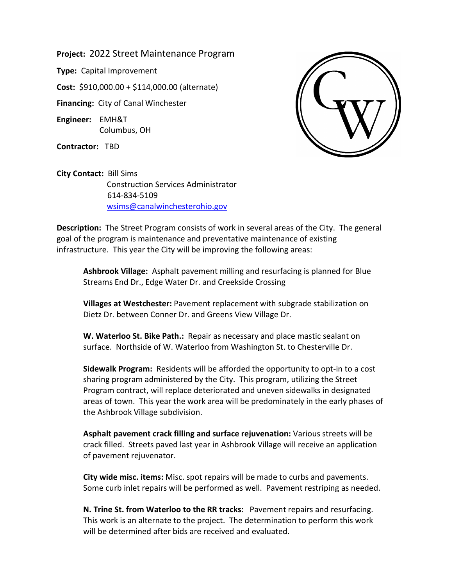**Project:** 2022 Street Maintenance Program

**Type:** Capital Improvement

**Cost:** \$910,000.00 + \$114,000.00 (alternate)

**Financing:** City of Canal Winchester

**Engineer:** EMH&T Columbus, OH

**Contractor:** TBD



**City Contact:** Bill Sims Construction Services Administrator 614-834-5109 [wsims@canalwinchesterohio.gov](mailto:wsims@canalwinchesterohio.gov)

**Description:** The Street Program consists of work in several areas of the City. The general goal of the program is maintenance and preventative maintenance of existing infrastructure. This year the City will be improving the following areas:

**Ashbrook Village:** Asphalt pavement milling and resurfacing is planned for Blue Streams End Dr., Edge Water Dr. and Creekside Crossing

**Villages at Westchester:** Pavement replacement with subgrade stabilization on Dietz Dr. between Conner Dr. and Greens View Village Dr.

**W. Waterloo St. Bike Path.:** Repair as necessary and place mastic sealant on surface. Northside of W. Waterloo from Washington St. to Chesterville Dr.

**Sidewalk Program:** Residents will be afforded the opportunity to opt-in to a cost sharing program administered by the City. This program, utilizing the Street Program contract, will replace deteriorated and uneven sidewalks in designated areas of town. This year the work area will be predominately in the early phases of the Ashbrook Village subdivision.

**Asphalt pavement crack filling and surface rejuvenation:** Various streets will be crack filled. Streets paved last year in Ashbrook Village will receive an application of pavement rejuvenator.

**City wide misc. items:** Misc. spot repairs will be made to curbs and pavements. Some curb inlet repairs will be performed as well. Pavement restriping as needed.

**N. Trine St. from Waterloo to the RR tracks**: Pavement repairs and resurfacing. This work is an alternate to the project. The determination to perform this work will be determined after bids are received and evaluated.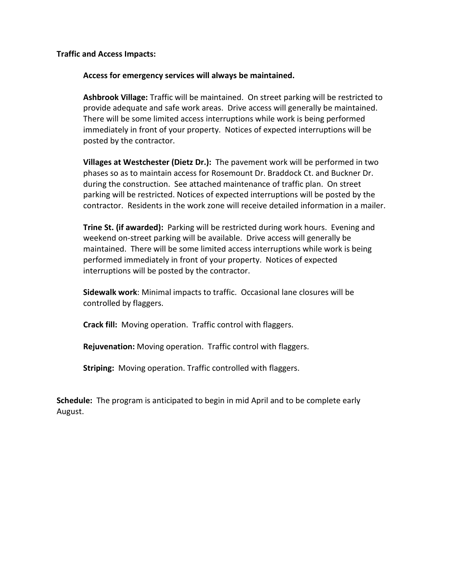**Traffic and Access Impacts:**

**Access for emergency services will always be maintained.**

**Ashbrook Village:** Traffic will be maintained. On street parking will be restricted to provide adequate and safe work areas. Drive access will generally be maintained. There will be some limited access interruptions while work is being performed immediately in front of your property. Notices of expected interruptions will be posted by the contractor.

**Villages at Westchester (Dietz Dr.):** The pavement work will be performed in two phases so as to maintain access for Rosemount Dr. Braddock Ct. and Buckner Dr. during the construction. See attached maintenance of traffic plan. On street parking will be restricted. Notices of expected interruptions will be posted by the contractor. Residents in the work zone will receive detailed information in a mailer.

**Trine St. (if awarded):** Parking will be restricted during work hours. Evening and weekend on-street parking will be available. Drive access will generally be maintained. There will be some limited access interruptions while work is being performed immediately in front of your property. Notices of expected interruptions will be posted by the contractor.

**Sidewalk work**: Minimal impacts to traffic. Occasional lane closures will be controlled by flaggers.

**Crack fill:** Moving operation. Traffic control with flaggers.

**Rejuvenation:** Moving operation. Traffic control with flaggers.

**Striping:** Moving operation. Traffic controlled with flaggers.

**Schedule:** The program is anticipated to begin in mid April and to be complete early August.